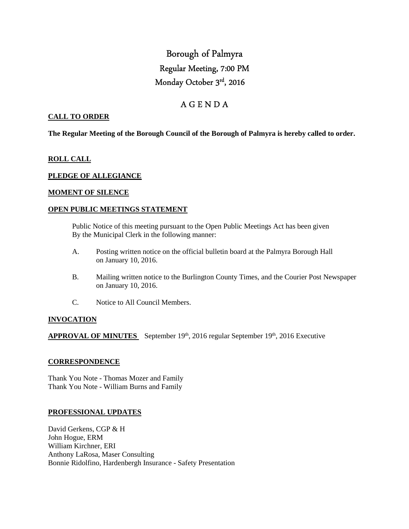# Borough of Palmyra Regular Meeting, 7:00 PM Monday October 3rd, 2016

# A G E N D A

# **CALL TO ORDER**

**The Regular Meeting of the Borough Council of the Borough of Palmyra is hereby called to order.** 

## **ROLL CALL**

## **PLEDGE OF ALLEGIANCE**

# **MOMENT OF SILENCE**

## **OPEN PUBLIC MEETINGS STATEMENT**

 Public Notice of this meeting pursuant to the Open Public Meetings Act has been given By the Municipal Clerk in the following manner:

- A. Posting written notice on the official bulletin board at the Palmyra Borough Hall on January 10, 2016.
- B. Mailing written notice to the Burlington County Times, and the Courier Post Newspaper on January 10, 2016.
- C. Notice to All Council Members.

## **INVOCATION**

APPROVAL OF MINUTES September 19<sup>th</sup>, 2016 regular September 19<sup>th</sup>, 2016 Executive

#### **CORRESPONDENCE**

Thank You Note - Thomas Mozer and Family Thank You Note - William Burns and Family

## **PROFESSIONAL UPDATES**

David Gerkens, CGP & H John Hogue, ERM William Kirchner, ERI Anthony LaRosa, Maser Consulting Bonnie Ridolfino, Hardenbergh Insurance - Safety Presentation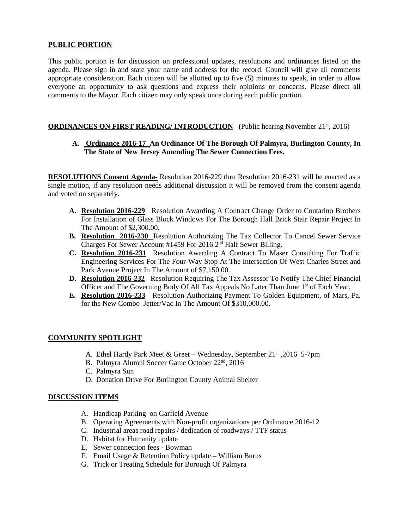# **PUBLIC PORTION**

This public portion is for discussion on professional updates, resolutions and ordinances listed on the agenda. Please sign in and state your name and address for the record. Council will give all comments appropriate consideration. Each citizen will be allotted up to five (5) minutes to speak, in order to allow everyone an opportunity to ask questions and express their opinions or concerns. Please direct all comments to the Mayor. Each citizen may only speak once during each public portion.

# **ORDINANCES ON FIRST READING/ INTRODUCTION** (Public hearing November 21<sup>st</sup>, 2016)

# **A. Ordinance 2016-17 An Ordinance Of The Borough Of Palmyra, Burlington County, In The State of New Jersey Amending The Sewer Connection Fees.**

**RESOLUTIONS Consent Agenda-** Resolution 2016-229 thru Resolution 2016-231 will be enacted as a single motion, if any resolution needs additional discussion it will be removed from the consent agenda and voted on separately.

- **A. Resolution 2016-229** Resolution Awarding A Contract Change Order to Contarino Brothers For Installation of Glass Block Windows For The Borough Hall Brick Stair Repair Project In The Amount of \$2,300.00.
- **B. Resolution 2016-230** Resolution Authorizing The Tax Collector To Cancel Sewer Service Charges For Sewer Account #1459 For 2016 2nd Half Sewer Billing.
- **C. Resolution 2016-231** Resolution Awarding A Contract To Maser Consulting For Traffic Engineering Services For The Four-Way Stop At The Intersection Of West Charles Street and Park Avenue Project In The Amount of \$7,150.00.
- **D. Resolution 2016-232** Resolution Requiring The Tax Assessor To Notify The Chief Financial Officer and The Governing Body Of All Tax Appeals No Later Than June 1<sup>st</sup> of Each Year.
- **E. Resolution 2016-233** Resolution Authorizing Payment To Golden Equipment, of Mars, Pa. for the New Combo Jetter/Vac In The Amount Of \$310,000.00.

## **COMMUNITY SPOTLIGHT**

- A. Ethel Hardy Park Meet & Greet Wednesday, September 21st ,2016 5-7pm
- B. Palmyra Alumni Soccer Game October 22nd, 2016
- C. Palmyra Sun
- D. Donation Drive For Burlington County Animal Shelter

## **DISCUSSION ITEMS**

- A. Handicap Parking on Garfield Avenue
- B. Operating Agreements with Non-profit organizations per Ordinance 2016-12
- C. Industrial areas road repairs / dedication of roadways / TTF status
- D. Habitat for Humanity update
- E. Sewer connection fees Bowman
- F. Email Usage & Retention Policy update William Burns
- G. Trick or Treating Schedule for Borough Of Palmyra